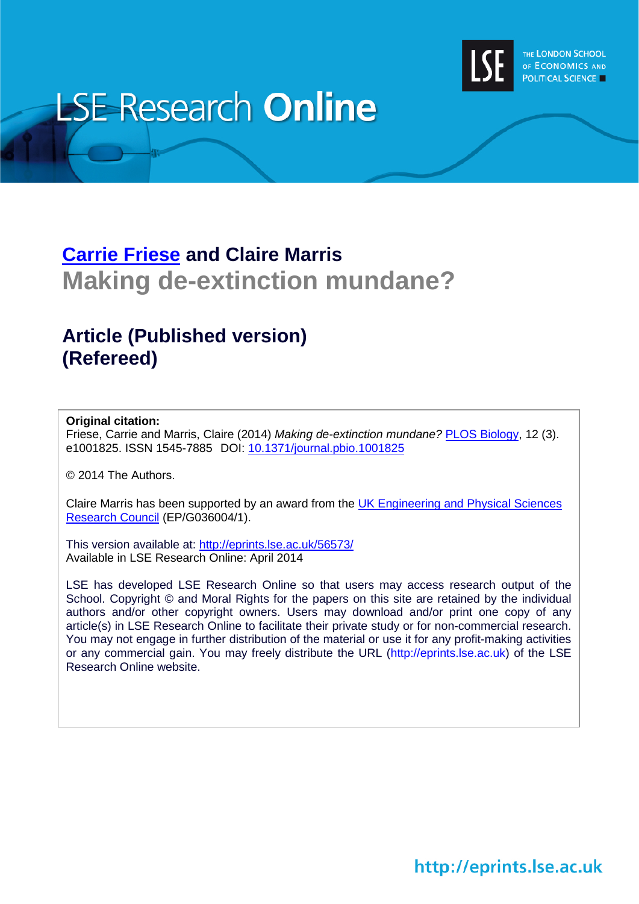

# **LSE Research Online**

# **[Carrie Friese](http://www.lse.ac.uk/researchAndExpertise/Experts/profile.aspx?KeyValue=c.friese@lse.ac.uk) and Claire Marris Making de-extinction mundane?**

# **Article (Published version) (Refereed)**

### **Original citation:**

Friese, Carrie and Marris, Claire (2014) *Making de-extinction mundane?* [PLOS Biology,](http://www.plosbiology.org/) 12 (3). e1001825. ISSN 1545-7885 DOI: [10.1371/journal.pbio.1001825](http://dx.doi.org/10.1371/journal.pbio.1001825)

© 2014 The Authors.

Claire Marris has been supported by an award from the [UK Engineering and Physical Sciences](http://www.epsrc.ac.uk/) [Research Council](http://www.epsrc.ac.uk/) (EP/G036004/1).

This version available at:<http://eprints.lse.ac.uk/56573/> Available in LSE Research Online: April 2014

LSE has developed LSE Research Online so that users may access research output of the School. Copyright © and Moral Rights for the papers on this site are retained by the individual authors and/or other copyright owners. Users may download and/or print one copy of any article(s) in LSE Research Online to facilitate their private study or for non-commercial research. You may not engage in further distribution of the material or use it for any profit-making activities or any commercial gain. You may freely distribute the URL (http://eprints.lse.ac.uk) of the LSE Research Online website.

http://eprints.lse.ac.uk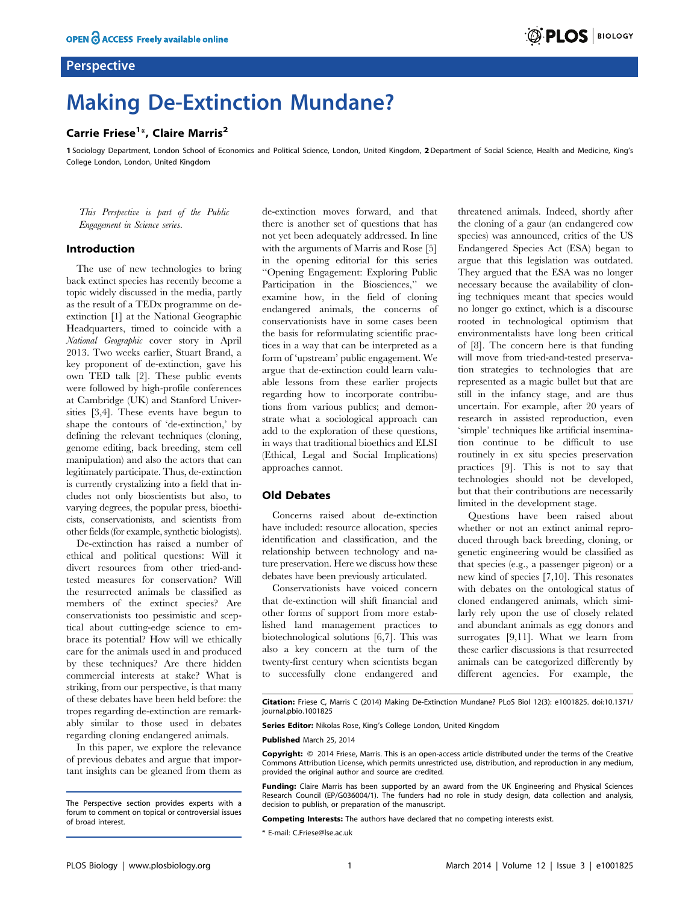#### **Perspective**

# Making De-Extinction Mundane?

### Carrie Friese<sup>1</sup>\*, Claire Marris<sup>2</sup>

1 Sociology Department, London School of Economics and Political Science, London, United Kingdom, 2 Department of Social Science, Health and Medicine, King's College London, London, United Kingdom

This Perspective is part of the Public Engagement in Science series.

#### Introduction

The use of new technologies to bring back extinct species has recently become a topic widely discussed in the media, partly as the result of a TEDx programme on deextinction [1] at the National Geographic Headquarters, timed to coincide with a National Geographic cover story in April 2013. Two weeks earlier, Stuart Brand, a key proponent of de-extinction, gave his own TED talk [2]. These public events were followed by high-profile conferences at Cambridge (UK) and Stanford Universities [3,4]. These events have begun to shape the contours of 'de-extinction,' by defining the relevant techniques (cloning, genome editing, back breeding, stem cell manipulation) and also the actors that can legitimately participate. Thus, de-extinction is currently crystalizing into a field that includes not only bioscientists but also, to varying degrees, the popular press, bioethicists, conservationists, and scientists from other fields (for example, synthetic biologists).

De-extinction has raised a number of ethical and political questions: Will it divert resources from other tried-andtested measures for conservation? Will the resurrected animals be classified as members of the extinct species? Are conservationists too pessimistic and sceptical about cutting-edge science to embrace its potential? How will we ethically care for the animals used in and produced by these techniques? Are there hidden commercial interests at stake? What is striking, from our perspective, is that many of these debates have been held before: the tropes regarding de-extinction are remarkably similar to those used in debates regarding cloning endangered animals.

In this paper, we explore the relevance of previous debates and argue that important insights can be gleaned from them as de-extinction moves forward, and that there is another set of questions that has not yet been adequately addressed. In line with the arguments of Marris and Rose [5] in the opening editorial for this series ''Opening Engagement: Exploring Public Participation in the Biosciences,'' we examine how, in the field of cloning endangered animals, the concerns of conservationists have in some cases been the basis for reformulating scientific practices in a way that can be interpreted as a form of 'upstream' public engagement. We argue that de-extinction could learn valuable lessons from these earlier projects regarding how to incorporate contributions from various publics; and demonstrate what a sociological approach can add to the exploration of these questions, in ways that traditional bioethics and ELSI (Ethical, Legal and Social Implications) approaches cannot.

#### Old Debates

Concerns raised about de-extinction have included: resource allocation, species identification and classification, and the relationship between technology and nature preservation. Here we discuss how these debates have been previously articulated.

Conservationists have voiced concern that de-extinction will shift financial and other forms of support from more established land management practices to biotechnological solutions [6,7]. This was also a key concern at the turn of the twenty-first century when scientists began to successfully clone endangered and threatened animals. Indeed, shortly after the cloning of a gaur (an endangered cow species) was announced, critics of the US Endangered Species Act (ESA) began to argue that this legislation was outdated. They argued that the ESA was no longer necessary because the availability of cloning techniques meant that species would no longer go extinct, which is a discourse rooted in technological optimism that environmentalists have long been critical of [8]. The concern here is that funding will move from tried-and-tested preservation strategies to technologies that are represented as a magic bullet but that are still in the infancy stage, and are thus uncertain. For example, after 20 years of research in assisted reproduction, even 'simple' techniques like artificial insemination continue to be difficult to use routinely in ex situ species preservation practices [9]. This is not to say that technologies should not be developed, but that their contributions are necessarily limited in the development stage.

**DIPLOS** BIOLOGY

Questions have been raised about whether or not an extinct animal reproduced through back breeding, cloning, or genetic engineering would be classified as that species (e.g., a passenger pigeon) or a new kind of species [7,10]. This resonates with debates on the ontological status of cloned endangered animals, which similarly rely upon the use of closely related and abundant animals as egg donors and surrogates [9,11]. What we learn from these earlier discussions is that resurrected animals can be categorized differently by different agencies. For example, the

Citation: Friese C, Marris C (2014) Making De-Extinction Mundane? PLoS Biol 12(3): e1001825. doi:10.1371/ journal.pbio.1001825

Series Editor: Nikolas Rose, King's College London, United Kingdom

Published March 25, 2014

Copyright: © 2014 Friese, Marris. This is an open-access article distributed under the terms of the [Creative](http://creativecommons.org/licenses/by/4.0/) [Commons Attribution License,](http://creativecommons.org/licenses/by/4.0/) which permits unrestricted use, distribution, and reproduction in any medium, provided the original author and source are credited.

Funding: Claire Marris has been supported by an award from the UK Engineering and Physical Sciences Research Council (EP/G036004/1). The funders had no role in study design, data collection and analysis, decision to publish, or preparation of the manuscript.

Competing Interests: The authors have declared that no competing interests exist.

\* E-mail: C.Friese@lse.ac.uk

The Perspective section provides experts with a forum to comment on topical or controversial issues of broad interest.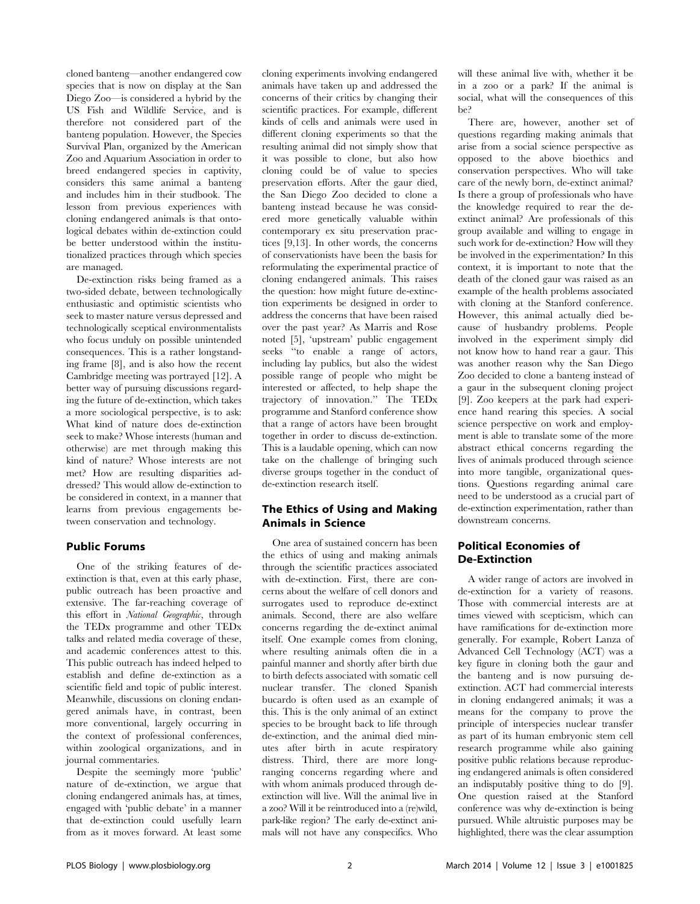cloned banteng—another endangered cow species that is now on display at the San Diego Zoo—is considered a hybrid by the US Fish and Wildlife Service, and is therefore not considered part of the banteng population. However, the Species Survival Plan, organized by the American Zoo and Aquarium Association in order to breed endangered species in captivity, considers this same animal a banteng and includes him in their studbook. The lesson from previous experiences with cloning endangered animals is that ontological debates within de-extinction could be better understood within the institutionalized practices through which species are managed.

De-extinction risks being framed as a two-sided debate, between technologically enthusiastic and optimistic scientists who seek to master nature versus depressed and technologically sceptical environmentalists who focus unduly on possible unintended consequences. This is a rather longstanding frame [8], and is also how the recent Cambridge meeting was portrayed [12]. A better way of pursuing discussions regarding the future of de-extinction, which takes a more sociological perspective, is to ask: What kind of nature does de-extinction seek to make? Whose interests (human and otherwise) are met through making this kind of nature? Whose interests are not met? How are resulting disparities addressed? This would allow de-extinction to be considered in context, in a manner that learns from previous engagements between conservation and technology.

#### Public Forums

One of the striking features of deextinction is that, even at this early phase, public outreach has been proactive and extensive. The far-reaching coverage of this effort in National Geographic, through the TEDx programme and other TEDx talks and related media coverage of these, and academic conferences attest to this. This public outreach has indeed helped to establish and define de-extinction as a scientific field and topic of public interest. Meanwhile, discussions on cloning endangered animals have, in contrast, been more conventional, largely occurring in the context of professional conferences, within zoological organizations, and in journal commentaries.

Despite the seemingly more 'public' nature of de-extinction, we argue that cloning endangered animals has, at times, engaged with 'public debate' in a manner that de-extinction could usefully learn from as it moves forward. At least some cloning experiments involving endangered animals have taken up and addressed the concerns of their critics by changing their scientific practices. For example, different kinds of cells and animals were used in different cloning experiments so that the resulting animal did not simply show that it was possible to clone, but also how cloning could be of value to species preservation efforts. After the gaur died, the San Diego Zoo decided to clone a banteng instead because he was considered more genetically valuable within contemporary ex situ preservation practices [9,13]. In other words, the concerns of conservationists have been the basis for reformulating the experimental practice of cloning endangered animals. This raises the question: how might future de-extinction experiments be designed in order to address the concerns that have been raised over the past year? As Marris and Rose noted [5], 'upstream' public engagement seeks ''to enable a range of actors, including lay publics, but also the widest possible range of people who might be interested or affected, to help shape the trajectory of innovation.'' The TEDx programme and Stanford conference show that a range of actors have been brought together in order to discuss de-extinction. This is a laudable opening, which can now take on the challenge of bringing such diverse groups together in the conduct of de-extinction research itself.

#### The Ethics of Using and Making Animals in Science

One area of sustained concern has been the ethics of using and making animals through the scientific practices associated with de-extinction. First, there are concerns about the welfare of cell donors and surrogates used to reproduce de-extinct animals. Second, there are also welfare concerns regarding the de-extinct animal itself. One example comes from cloning, where resulting animals often die in a painful manner and shortly after birth due to birth defects associated with somatic cell nuclear transfer. The cloned Spanish bucardo is often used as an example of this. This is the only animal of an extinct species to be brought back to life through de-extinction, and the animal died minutes after birth in acute respiratory distress. Third, there are more longranging concerns regarding where and with whom animals produced through deextinction will live. Will the animal live in a zoo? Will it be reintroduced into a (re)wild, park-like region? The early de-extinct animals will not have any conspecifics. Who will these animal live with, whether it be in a zoo or a park? If the animal is social, what will the consequences of this be?

There are, however, another set of questions regarding making animals that arise from a social science perspective as opposed to the above bioethics and conservation perspectives. Who will take care of the newly born, de-extinct animal? Is there a group of professionals who have the knowledge required to rear the deextinct animal? Are professionals of this group available and willing to engage in such work for de-extinction? How will they be involved in the experimentation? In this context, it is important to note that the death of the cloned gaur was raised as an example of the health problems associated with cloning at the Stanford conference. However, this animal actually died because of husbandry problems. People involved in the experiment simply did not know how to hand rear a gaur. This was another reason why the San Diego Zoo decided to clone a banteng instead of a gaur in the subsequent cloning project [9]. Zoo keepers at the park had experience hand rearing this species. A social science perspective on work and employment is able to translate some of the more abstract ethical concerns regarding the lives of animals produced through science into more tangible, organizational questions. Questions regarding animal care need to be understood as a crucial part of de-extinction experimentation, rather than downstream concerns.

### Political Economies of De-Extinction

A wider range of actors are involved in de-extinction for a variety of reasons. Those with commercial interests are at times viewed with scepticism, which can have ramifications for de-extinction more generally. For example, Robert Lanza of Advanced Cell Technology (ACT) was a key figure in cloning both the gaur and the banteng and is now pursuing deextinction. ACT had commercial interests in cloning endangered animals; it was a means for the company to prove the principle of interspecies nuclear transfer as part of its human embryonic stem cell research programme while also gaining positive public relations because reproducing endangered animals is often considered an indisputably positive thing to do [9]. One question raised at the Stanford conference was why de-extinction is being pursued. While altruistic purposes may be highlighted, there was the clear assumption